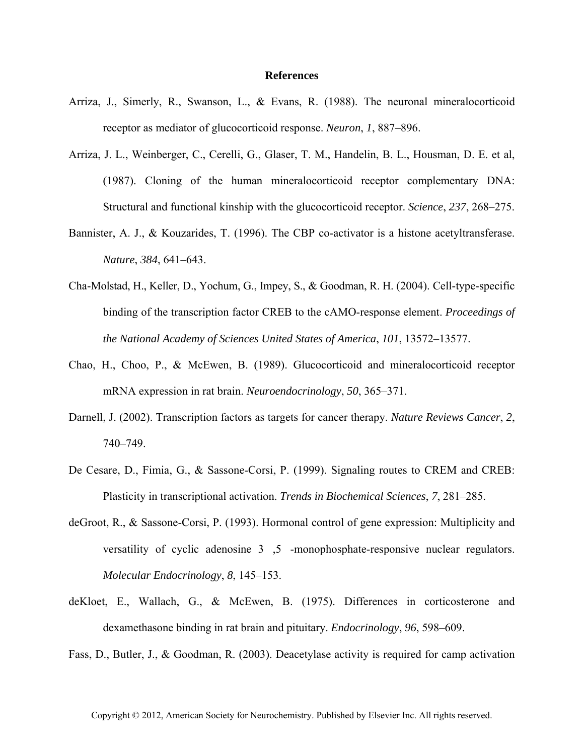## **References**

- Arriza, J., Simerly, R., Swanson, L., & Evans, R. (1988). The neuronal mineralocorticoid receptor as mediator of glucocorticoid response. *Neuron*, *1*, 887–896.
- Arriza, J. L., Weinberger, C., Cerelli, G., Glaser, T. M., Handelin, B. L., Housman, D. E. et al, (1987). Cloning of the human mineralocorticoid receptor complementary DNA: Structural and functional kinship with the glucocorticoid receptor. *Science*, *237*, 268–275.
- Bannister, A. J., & Kouzarides, T. (1996). The CBP co-activator is a histone acetyltransferase. *Nature*, *384*, 641–643.
- Cha-Molstad, H., Keller, D., Yochum, G., Impey, S., & Goodman, R. H. (2004). Cell-type-specific binding of the transcription factor CREB to the cAMO-response element. *Proceedings of the National Academy of Sciences United States of America*, *101*, 13572–13577.
- Chao, H., Choo, P., & McEwen, B. (1989). Glucocorticoid and mineralocorticoid receptor mRNA expression in rat brain. *Neuroendocrinology*, *50*, 365–371.
- Darnell, J. (2002). Transcription factors as targets for cancer therapy. *Nature Reviews Cancer*, *2*, 740–749.
- De Cesare, D., Fimia, G., & Sassone-Corsi, P. (1999). Signaling routes to CREM and CREB: Plasticity in transcriptional activation. *Trends in Biochemical Sciences*, *7*, 281–285.
- deGroot, R., & Sassone-Corsi, P. (1993). Hormonal control of gene expression: Multiplicity and versatility of cyclic adenosine 3,5 -monophosphate-responsive nuclear regulators. *Molecular Endocrinology*, *8*, 145–153.
- deKloet, E., Wallach, G., & McEwen, B. (1975). Differences in corticosterone and dexamethasone binding in rat brain and pituitary. *Endocrinology*, *96*, 598–609.

Fass, D., Butler, J., & Goodman, R. (2003). Deacetylase activity is required for camp activation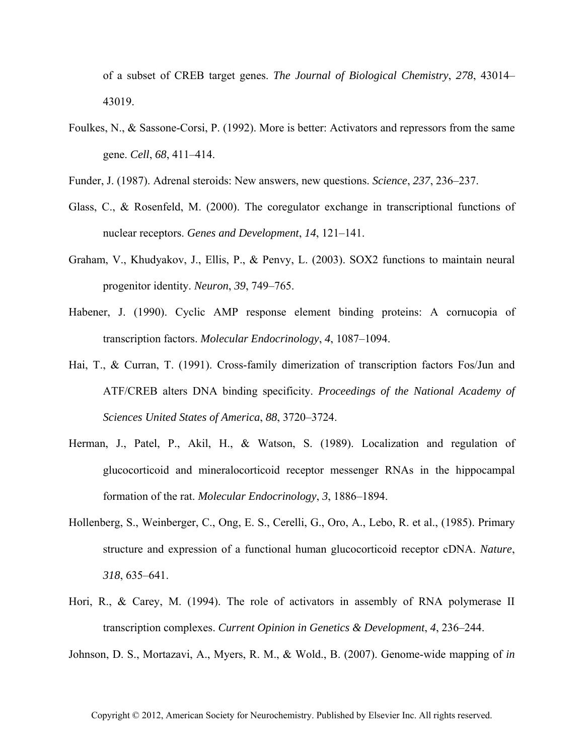of a subset of CREB target genes. *The Journal of Biological Chemistry*, *278*, 43014– 43019.

- Foulkes, N., & Sassone-Corsi, P. (1992). More is better: Activators and repressors from the same gene. *Cell*, *68*, 411–414.
- Funder, J. (1987). Adrenal steroids: New answers, new questions. *Science*, *237*, 236–237.
- Glass, C., & Rosenfeld, M. (2000). The coregulator exchange in transcriptional functions of nuclear receptors. *Genes and Development*, *14*, 121–141.
- Graham, V., Khudyakov, J., Ellis, P., & Penvy, L. (2003). SOX2 functions to maintain neural progenitor identity. *Neuron*, *39*, 749–765.
- Habener, J. (1990). Cyclic AMP response element binding proteins: A cornucopia of transcription factors. *Molecular Endocrinology*, *4*, 1087–1094.
- Hai, T., & Curran, T. (1991). Cross-family dimerization of transcription factors Fos/Jun and ATF/CREB alters DNA binding specificity. *Proceedings of the National Academy of Sciences United States of America*, *88*, 3720–3724.
- Herman, J., Patel, P., Akil, H., & Watson, S. (1989). Localization and regulation of glucocorticoid and mineralocorticoid receptor messenger RNAs in the hippocampal formation of the rat. *Molecular Endocrinology*, *3*, 1886–1894.
- Hollenberg, S., Weinberger, C., Ong, E. S., Cerelli, G., Oro, A., Lebo, R. et al., (1985). Primary structure and expression of a functional human glucocorticoid receptor cDNA. *Nature*, *318*, 635–641.
- Hori, R., & Carey, M. (1994). The role of activators in assembly of RNA polymerase II transcription complexes. *Current Opinion in Genetics & Development*, *4*, 236–244.

Johnson, D. S., Mortazavi, A., Myers, R. M., & Wold., B. (2007). Genome-wide mapping of *in*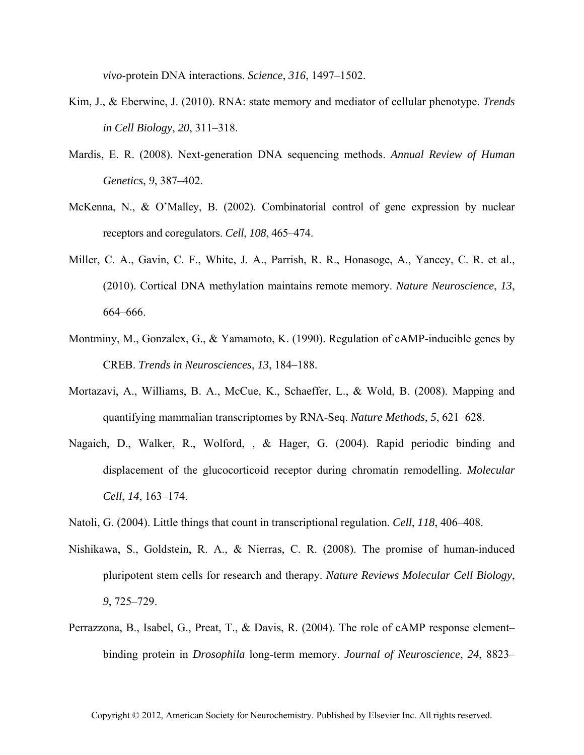*vivo*-protein DNA interactions. *Science*, *316*, 1497–1502.

- Kim, J., & Eberwine, J. (2010). RNA: state memory and mediator of cellular phenotype. *Trends in Cell Biology*, *20*, 311–318.
- Mardis, E. R. (2008). Next-generation DNA sequencing methods. *Annual Review of Human Genetics*, *9*, 387–402.
- McKenna, N., & O'Malley, B. (2002). Combinatorial control of gene expression by nuclear receptors and coregulators. *Cell*, *108*, 465–474.
- Miller, C. A., Gavin, C. F., White, J. A., Parrish, R. R., Honasoge, A., Yancey, C. R. et al., (2010). Cortical DNA methylation maintains remote memory. *Nature Neuroscience*, *13*, 664–666.
- Montminy, M., Gonzalex, G., & Yamamoto, K. (1990). Regulation of cAMP-inducible genes by CREB. *Trends in Neurosciences*, *13*, 184–188.
- Mortazavi, A., Williams, B. A., McCue, K., Schaeffer, L., & Wold, B. (2008). Mapping and quantifying mammalian transcriptomes by RNA-Seq. *Nature Methods*, *5*, 621–628.
- Nagaich, D., Walker, R., Wolford, , & Hager, G. (2004). Rapid periodic binding and displacement of the glucocorticoid receptor during chromatin remodelling. *Molecular Cell*, *14*, 163–174.
- Natoli, G. (2004). Little things that count in transcriptional regulation. *Cell*, *118*, 406–408.
- Nishikawa, S., Goldstein, R. A., & Nierras, C. R. (2008). The promise of human-induced pluripotent stem cells for research and therapy. *Nature Reviews Molecular Cell Biology*, *9*, 725–729.
- Perrazzona, B., Isabel, G., Preat, T., & Davis, R. (2004). The role of cAMP response element– binding protein in *Drosophila* long-term memory. *Journal of Neuroscience*, *24*, 8823–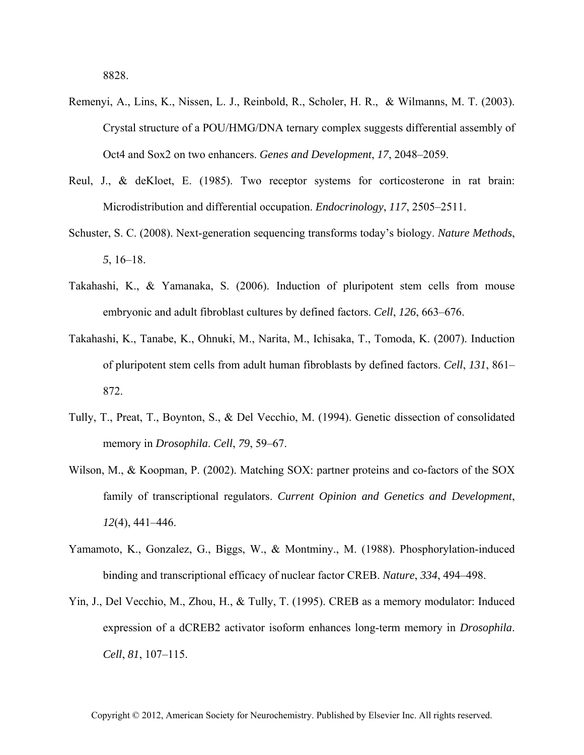- Remenyi, A., Lins, K., Nissen, L. J., Reinbold, R., Scholer, H. R., & Wilmanns, M. T. (2003). Crystal structure of a POU/HMG/DNA ternary complex suggests differential assembly of Oct4 and Sox2 on two enhancers. *Genes and Development*, *17*, 2048–2059.
- Reul, J., & deKloet, E. (1985). Two receptor systems for corticosterone in rat brain: Microdistribution and differential occupation. *Endocrinology*, *117*, 2505–2511.
- Schuster, S. C. (2008). Next-generation sequencing transforms today's biology. *Nature Methods*, *5*, 16–18.
- Takahashi, K., & Yamanaka, S. (2006). Induction of pluripotent stem cells from mouse embryonic and adult fibroblast cultures by defined factors. *Cell*, *126*, 663–676.
- Takahashi, K., Tanabe, K., Ohnuki, M., Narita, M., Ichisaka, T., Tomoda, K. (2007). Induction of pluripotent stem cells from adult human fibroblasts by defined factors. *Cell*, *131*, 861– 872.
- Tully, T., Preat, T., Boynton, S., & Del Vecchio, M. (1994). Genetic dissection of consolidated memory in *Drosophila*. *Cell*, *79*, 59–67.
- Wilson, M., & Koopman, P. (2002). Matching SOX: partner proteins and co-factors of the SOX family of transcriptional regulators. *Current Opinion and Genetics and Development*, *12*(4), 441–446.
- Yamamoto, K., Gonzalez, G., Biggs, W., & Montminy., M. (1988). Phosphorylation-induced binding and transcriptional efficacy of nuclear factor CREB. *Nature*, *334*, 494–498.
- Yin, J., Del Vecchio, M., Zhou, H., & Tully, T. (1995). CREB as a memory modulator: Induced expression of a dCREB2 activator isoform enhances long-term memory in *Drosophila*. *Cell*, *81*, 107–115.